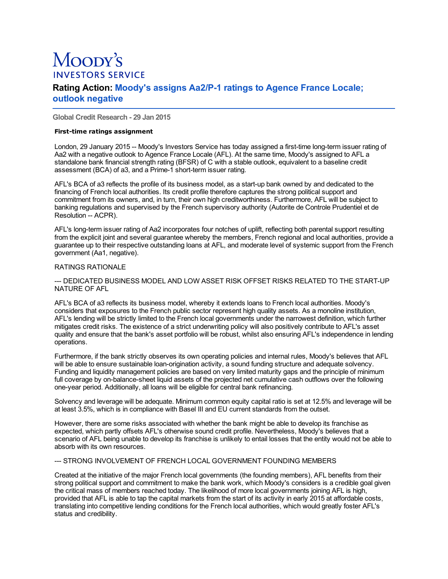# Moopy's **INVESTORS SERVICE**

# **Rating Action: Moody's assigns Aa2/P-1 ratings to Agence France Locale; outlook negative**

**Global Credit Research - 29 Jan 2015**

#### **First-time ratings assignment**

London, 29 January 2015 -- Moody's Investors Service has today assigned a first-time long-term issuer rating of Aa2 with a negative outlook to Agence France Locale (AFL). At the same time, Moody's assigned to AFL a standalone bank financial strength rating (BFSR) of C with a stable outlook, equivalent to a baseline credit assessment (BCA) of a3, and a Prime-1 short-term issuer rating.

AFL's BCA of a3 reflects the profile of its business model, as a start-up bank owned by and dedicated to the financing of French local authorities. Its credit profile therefore captures the strong political support and commitment from its owners, and, in turn, their own high creditworthiness. Furthermore, AFL will be subject to banking regulations and supervised by the French supervisory authority (Autorite de Controle Prudentiel et de Resolution -- ACPR).

AFL's long-term issuer rating of Aa2 incorporates four notches of uplift, reflecting both parental support resulting from the explicit joint and several guarantee whereby the members, French regional and local authorities, provide a guarantee up to their respective outstanding loans at AFL, and moderate level of systemic support from the French government (Aa1, negative).

# RATINGS RATIONALE

#### --- DEDICATED BUSINESS MODEL AND LOW ASSET RISK OFFSET RISKS RELATED TO THE START-UP NATURE OF AFL

AFL's BCA of a3 reflects its business model, whereby it extends loans to French local authorities. Moody's considers that exposures to the French public sector represent high quality assets. As a monoline institution, AFL's lending will be strictly limited to the French local governments under the narrowest definition, which further mitigates credit risks. The existence of a strict underwriting policy will also positively contribute to AFL's asset quality and ensure that the bank's asset portfolio will be robust, whilst also ensuring AFL's independence in lending operations.

Furthermore, if the bank strictly observes its own operating policies and internal rules, Moody's believes that AFL will be able to ensure sustainable loan-origination activity, a sound funding structure and adequate solvency. Funding and liquidity management policies are based on very limited maturity gaps and the principle of minimum full coverage by on-balance-sheet liquid assets of the projected net cumulative cash outflows over the following one-year period. Additionally, all loans will be eligible for central bank refinancing.

Solvency and leverage will be adequate. Minimum common equity capital ratio is set at 12.5% and leverage will be at least 3.5%, which is in compliance with Basel III and EU current standards from the outset.

However, there are some risks associated with whether the bank might be able to develop its franchise as expected, which partly offsets AFL's otherwise sound credit profile. Nevertheless, Moody's believes that a scenario of AFL being unable to develop its franchise is unlikely to entail losses that the entity would not be able to absorb with its own resources.

# --- STRONG INVOLVEMENT OF FRENCH LOCAL GOVERNMENT FOUNDING MEMBERS

Created at the initiative of the major French local governments (the founding members), AFL benefits from their strong political support and commitment to make the bank work, which Moody's considers is a credible goal given the critical mass of members reached today. The likelihood of more local governments joining AFL is high, provided that AFL is able to tap the capital markets from the start of its activity in early 2015 at affordable costs, translating into competitive lending conditions for the French local authorities, which would greatly foster AFL's status and credibility.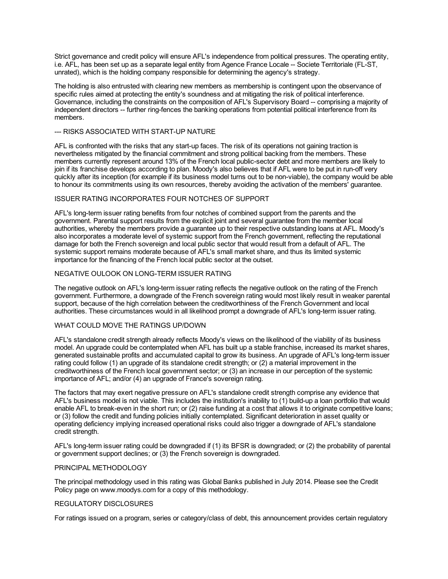Strict governance and credit policy will ensure AFL's independence from political pressures. The operating entity, i.e. AFL, has been set up as a separate legal entity from Agence France Locale -- Societe Territoriale (FL-ST, unrated), which is the holding company responsible for determining the agency's strategy.

The holding is also entrusted with clearing new members as membership is contingent upon the observance of specific rules aimed at protecting the entity's soundness and at mitigating the risk of political interference. Governance, including the constraints on the composition of AFL's Supervisory Board -- comprising a majority of independent directors -- further ring-fences the banking operations from potential political interference from its members.

#### --- RISKS ASSOCIATED WITH START-UP NATURE

AFL is confronted with the risks that any start-up faces. The risk of its operations not gaining traction is nevertheless mitigated by the financial commitment and strong political backing from the members. These members currently represent around 13% of the French local public-sector debt and more members are likely to join if its franchise develops according to plan. Moody's also believes that if AFL were to be put in run-off very quickly after its inception (for example if its business model turns out to be non-viable), the company would be able to honour its commitments using its own resources, thereby avoiding the activation of the members' guarantee.

# ISSUER RATING INCORPORATES FOUR NOTCHES OF SUPPORT

AFL's long-term issuer rating benefits from four notches of combined support from the parents and the government. Parental support results from the explicit joint and several guarantee from the member local authorities, whereby the members provide a guarantee up to their respective outstanding loans at AFL. Moody's also incorporates a moderate level of systemic support from the French government, reflecting the reputational damage for both the French sovereign and local public sector that would result from a default of AFL. The systemic support remains moderate because of AFL's small market share, and thus its limited systemic importance for the financing of the French local public sector at the outset.

# NEGATIVE OULOOK ON LONG-TERM ISSUER RATING

The negative outlook on AFL's long-term issuer rating reflects the negative outlook on the rating of the French government. Furthermore, a downgrade of the French sovereign rating would most likely result in weaker parental support, because of the high correlation between the creditworthiness of the French Government and local authorities. These circumstances would in all likelihood prompt a downgrade of AFL's long-term issuer rating.

# WHAT COULD MOVE THE RATINGS UP/DOWN

AFL's standalone credit strength already reflects Moody's views on the likelihood of the viability of its business model. An upgrade could be contemplated when AFL has built up a stable franchise, increased its market shares, generated sustainable profits and accumulated capital to grow its business. An upgrade of AFL's long-term issuer rating could follow (1) an upgrade of its standalone credit strength; or (2) a material improvement in the creditworthiness of the French local government sector; or (3) an increase in our perception of the systemic importance of AFL; and/or (4) an upgrade of France's sovereign rating.

The factors that may exert negative pressure on AFL's standalone credit strength comprise any evidence that AFL's business model is not viable. This includes the institution's inability to (1) build-up a loan portfolio that would enable AFL to break-even in the short run; or (2) raise funding at a cost that allows it to originate competitive loans; or (3) follow the credit and funding policies initially contemplated. Significant deterioration in asset quality or operating deficiency implying increased operational risks could also trigger a downgrade of AFL's standalone credit strength.

AFL's long-term issuer rating could be downgraded if (1) its BFSR is downgraded; or (2) the probability of parental or government support declines; or (3) the French sovereign is downgraded.

# PRINCIPAL METHODOLOGY

The principal methodology used in this rating was Global Banks published in July 2014. Please see the Credit Policy page on www.moodys.com for a copy of this methodology.

#### REGULATORY DISCLOSURES

For ratings issued on a program, series or category/class of debt, this announcement provides certain regulatory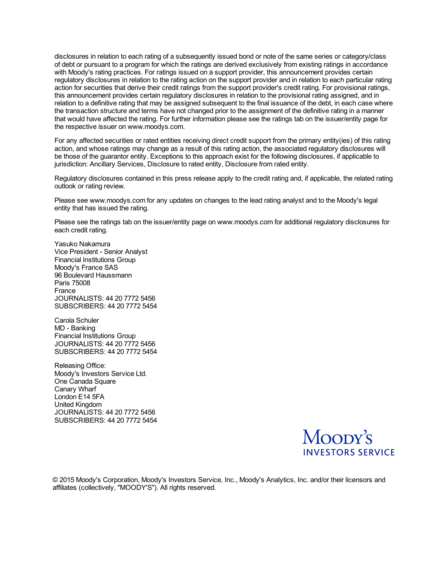disclosures in relation to each rating of a subsequently issued bond or note of the same series or category/class of debt or pursuant to a program for which the ratings are derived exclusively from existing ratings in accordance with Moody's rating practices. For ratings issued on a support provider, this announcement provides certain regulatory disclosures in relation to the rating action on the support provider and in relation to each particular rating action for securities that derive their credit ratings from the support provider's credit rating. For provisional ratings, this announcement provides certain regulatory disclosures in relation to the provisional rating assigned, and in relation to a definitive rating that may be assigned subsequent to the final issuance of the debt, in each case where the transaction structure and terms have not changed prior to the assignment of the definitive rating in a manner that would have affected the rating. For further information please see the ratings tab on the issuer/entity page for the respective issuer on www.moodys.com.

For any affected securities or rated entities receiving direct credit support from the primary entity(ies) of this rating action, and whose ratings may change as a result of this rating action, the associated regulatory disclosures will be those of the guarantor entity. Exceptions to this approach exist for the following disclosures, if applicable to jurisdiction: Ancillary Services, Disclosure to rated entity, Disclosure from rated entity.

Regulatory disclosures contained in this press release apply to the credit rating and, if applicable, the related rating outlook or rating review.

Please see www.moodys.com for any updates on changes to the lead rating analyst and to the Moody's legal entity that has issued the rating.

Please see the ratings tab on the issuer/entity page on www.moodys.com for additional regulatory disclosures for each credit rating.

Yasuko Nakamura Vice President - Senior Analyst Financial Institutions Group Moody's France SAS 96 Boulevard Haussmann Paris 75008 France JOURNALISTS: 44 20 7772 5456 SUBSCRIBERS: 44 20 7772 5454

Carola Schuler MD - Banking Financial Institutions Group JOURNALISTS: 44 20 7772 5456 SUBSCRIBERS: 44 20 7772 5454

Releasing Office: Moody's Investors Service Ltd. One Canada Square Canary Wharf London E14 5FA United Kingdom JOURNALISTS: 44 20 7772 5456 SUBSCRIBERS: 44 20 7772 5454

> Moopy's **INVESTORS SERVICE**

© 2015 Moody's Corporation, Moody's Investors Service, Inc., Moody's Analytics, Inc. and/or their licensors and affiliates (collectively, "MOODY'S"). All rights reserved.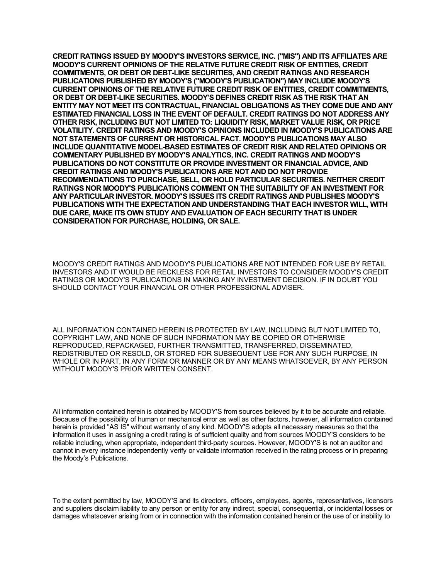**CREDIT RATINGS ISSUED BY MOODY'S INVESTORS SERVICE, INC. ("MIS") AND ITS AFFILIATES ARE MOODY'S CURRENT OPINIONS OF THE RELATIVE FUTURE CREDIT RISK OF ENTITIES, CREDIT COMMITMENTS, OR DEBT OR DEBT-LIKE SECURITIES, AND CREDIT RATINGS AND RESEARCH PUBLICATIONS PUBLISHED BY MOODY'S ("MOODY'S PUBLICATION") MAY INCLUDE MOODY'S CURRENT OPINIONS OF THE RELATIVE FUTURE CREDIT RISK OF ENTITIES, CREDIT COMMITMENTS, OR DEBT OR DEBT-LIKE SECURITIES. MOODY'S DEFINES CREDIT RISK AS THE RISK THAT AN ENTITY MAY NOT MEET ITS CONTRACTUAL, FINANCIAL OBLIGATIONS AS THEY COME DUE AND ANY ESTIMATED FINANCIAL LOSS IN THE EVENT OF DEFAULT. CREDIT RATINGS DO NOT ADDRESS ANY OTHER RISK, INCLUDING BUT NOT LIMITED TO: LIQUIDITY RISK, MARKET VALUE RISK, OR PRICE VOLATILITY. CREDIT RATINGS AND MOODY'S OPINIONS INCLUDED IN MOODY'S PUBLICATIONS ARE NOT STATEMENTS OF CURRENT OR HISTORICAL FACT. MOODY'S PUBLICATIONS MAY ALSO INCLUDE QUANTITATIVE MODEL-BASED ESTIMATES OF CREDIT RISK AND RELATED OPINIONS OR COMMENTARY PUBLISHED BY MOODY'S ANALYTICS, INC. CREDIT RATINGS AND MOODY'S PUBLICATIONS DO NOT CONSTITUTE OR PROVIDE INVESTMENT OR FINANCIAL ADVICE, AND CREDIT RATINGS AND MOODY'S PUBLICATIONS ARE NOT AND DO NOT PROVIDE RECOMMENDATIONS TO PURCHASE, SELL, OR HOLD PARTICULAR SECURITIES. NEITHER CREDIT RATINGS NOR MOODY'S PUBLICATIONS COMMENT ON THE SUITABILITY OF AN INVESTMENT FOR ANY PARTICULAR INVESTOR. MOODY'S ISSUES ITS CREDIT RATINGS AND PUBLISHES MOODY'S PUBLICATIONS WITH THE EXPECTATION AND UNDERSTANDING THAT EACH INVESTOR WILL, WITH DUE CARE, MAKE ITS OWN STUDY AND EVALUATION OF EACH SECURITY THAT IS UNDER CONSIDERATION FOR PURCHASE, HOLDING, OR SALE.**

MOODY'S CREDIT RATINGS AND MOODY'S PUBLICATIONS ARE NOT INTENDED FOR USE BY RETAIL INVESTORS AND IT WOULD BE RECKLESS FOR RETAIL INVESTORS TO CONSIDER MOODY'S CREDIT RATINGS OR MOODY'S PUBLICATIONS IN MAKING ANY INVESTMENT DECISION. IF IN DOUBT YOU SHOULD CONTACT YOUR FINANCIAL OR OTHER PROFESSIONAL ADVISER.

ALL INFORMATION CONTAINED HEREIN IS PROTECTED BY LAW, INCLUDING BUT NOT LIMITED TO, COPYRIGHT LAW, AND NONE OF SUCH INFORMATION MAY BE COPIED OR OTHERWISE REPRODUCED, REPACKAGED, FURTHER TRANSMITTED, TRANSFERRED, DISSEMINATED, REDISTRIBUTED OR RESOLD, OR STORED FOR SUBSEQUENT USE FOR ANY SUCH PURPOSE, IN WHOLE OR IN PART, IN ANY FORM OR MANNER OR BY ANY MEANS WHATSOEVER, BY ANY PERSON WITHOUT MOODY'S PRIOR WRITTEN CONSENT.

All information contained herein is obtained by MOODY'S from sources believed by it to be accurate and reliable. Because of the possibility of human or mechanical error as well as other factors, however, all information contained herein is provided "AS IS" without warranty of any kind. MOODY'S adopts all necessary measures so that the information it uses in assigning a credit rating is of sufficient quality and from sources MOODY'S considers to be reliable including, when appropriate, independent third-party sources. However, MOODY'S is not an auditor and cannot in every instance independently verify or validate information received in the rating process or in preparing the Moody's Publications.

To the extent permitted by law, MOODY'S and its directors, officers, employees, agents, representatives, licensors and suppliers disclaim liability to any person or entity for any indirect, special, consequential, or incidental losses or damages whatsoever arising from or in connection with the information contained herein or the use of or inability to